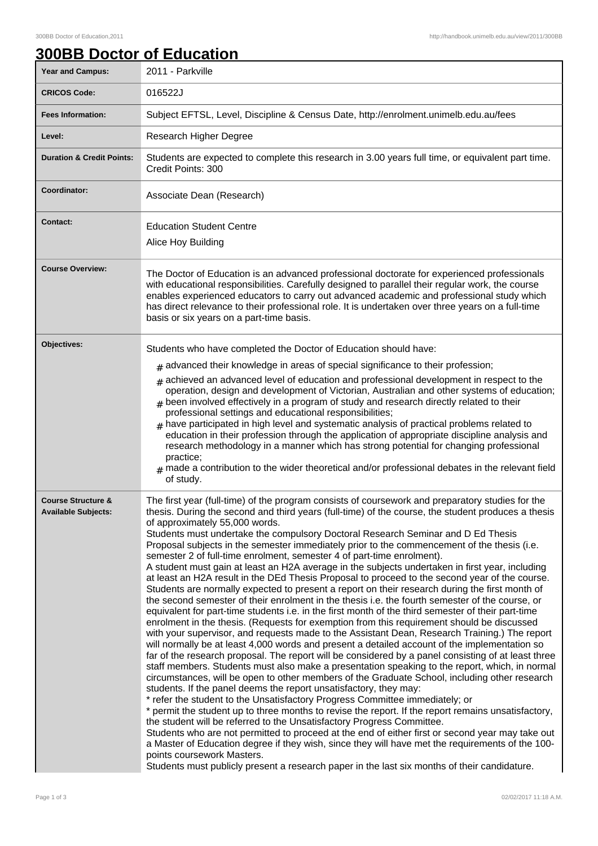|  | <b>300BB Doctor of Education</b> |  |
|--|----------------------------------|--|
|  |                                  |  |

| Year and Campus:                                            | 2011 - Parkville                                                                                                                                                                                                                                                                                                                                                                                                                                                                                                                                                                                                                                                                                                                                                                                                                                                                                                                                                                                                                                                                                                                                                                                                                                                                                                                                                                                                                                                                                                                                                                                                                                                                                                                                                                                                                                                                                                                                                                                                                                                                                                                                                                                                                                                                                            |
|-------------------------------------------------------------|-------------------------------------------------------------------------------------------------------------------------------------------------------------------------------------------------------------------------------------------------------------------------------------------------------------------------------------------------------------------------------------------------------------------------------------------------------------------------------------------------------------------------------------------------------------------------------------------------------------------------------------------------------------------------------------------------------------------------------------------------------------------------------------------------------------------------------------------------------------------------------------------------------------------------------------------------------------------------------------------------------------------------------------------------------------------------------------------------------------------------------------------------------------------------------------------------------------------------------------------------------------------------------------------------------------------------------------------------------------------------------------------------------------------------------------------------------------------------------------------------------------------------------------------------------------------------------------------------------------------------------------------------------------------------------------------------------------------------------------------------------------------------------------------------------------------------------------------------------------------------------------------------------------------------------------------------------------------------------------------------------------------------------------------------------------------------------------------------------------------------------------------------------------------------------------------------------------------------------------------------------------------------------------------------------------|
| <b>CRICOS Code:</b>                                         | 016522J                                                                                                                                                                                                                                                                                                                                                                                                                                                                                                                                                                                                                                                                                                                                                                                                                                                                                                                                                                                                                                                                                                                                                                                                                                                                                                                                                                                                                                                                                                                                                                                                                                                                                                                                                                                                                                                                                                                                                                                                                                                                                                                                                                                                                                                                                                     |
| <b>Fees Information:</b>                                    | Subject EFTSL, Level, Discipline & Census Date, http://enrolment.unimelb.edu.au/fees                                                                                                                                                                                                                                                                                                                                                                                                                                                                                                                                                                                                                                                                                                                                                                                                                                                                                                                                                                                                                                                                                                                                                                                                                                                                                                                                                                                                                                                                                                                                                                                                                                                                                                                                                                                                                                                                                                                                                                                                                                                                                                                                                                                                                        |
| Level:                                                      | Research Higher Degree                                                                                                                                                                                                                                                                                                                                                                                                                                                                                                                                                                                                                                                                                                                                                                                                                                                                                                                                                                                                                                                                                                                                                                                                                                                                                                                                                                                                                                                                                                                                                                                                                                                                                                                                                                                                                                                                                                                                                                                                                                                                                                                                                                                                                                                                                      |
| <b>Duration &amp; Credit Points:</b>                        | Students are expected to complete this research in 3.00 years full time, or equivalent part time.<br>Credit Points: 300                                                                                                                                                                                                                                                                                                                                                                                                                                                                                                                                                                                                                                                                                                                                                                                                                                                                                                                                                                                                                                                                                                                                                                                                                                                                                                                                                                                                                                                                                                                                                                                                                                                                                                                                                                                                                                                                                                                                                                                                                                                                                                                                                                                     |
| Coordinator:                                                | Associate Dean (Research)                                                                                                                                                                                                                                                                                                                                                                                                                                                                                                                                                                                                                                                                                                                                                                                                                                                                                                                                                                                                                                                                                                                                                                                                                                                                                                                                                                                                                                                                                                                                                                                                                                                                                                                                                                                                                                                                                                                                                                                                                                                                                                                                                                                                                                                                                   |
| <b>Contact:</b>                                             | <b>Education Student Centre</b><br>Alice Hoy Building                                                                                                                                                                                                                                                                                                                                                                                                                                                                                                                                                                                                                                                                                                                                                                                                                                                                                                                                                                                                                                                                                                                                                                                                                                                                                                                                                                                                                                                                                                                                                                                                                                                                                                                                                                                                                                                                                                                                                                                                                                                                                                                                                                                                                                                       |
| <b>Course Overview:</b>                                     | The Doctor of Education is an advanced professional doctorate for experienced professionals<br>with educational responsibilities. Carefully designed to parallel their regular work, the course<br>enables experienced educators to carry out advanced academic and professional study which<br>has direct relevance to their professional role. It is undertaken over three years on a full-time<br>basis or six years on a part-time basis.                                                                                                                                                                                                                                                                                                                                                                                                                                                                                                                                                                                                                                                                                                                                                                                                                                                                                                                                                                                                                                                                                                                                                                                                                                                                                                                                                                                                                                                                                                                                                                                                                                                                                                                                                                                                                                                               |
| Objectives:                                                 | Students who have completed the Doctor of Education should have:<br>$#$ advanced their knowledge in areas of special significance to their profession;<br>$#$ achieved an advanced level of education and professional development in respect to the<br>operation, design and development of Victorian, Australian and other systems of education;<br>been involved effectively in a program of study and research directly related to their<br>professional settings and educational responsibilities;<br>$*$ have participated in high level and systematic analysis of practical problems related to<br>education in their profession through the application of appropriate discipline analysis and<br>research methodology in a manner which has strong potential for changing professional<br>practice;<br>$#$ made a contribution to the wider theoretical and/or professional debates in the relevant field<br>of study.                                                                                                                                                                                                                                                                                                                                                                                                                                                                                                                                                                                                                                                                                                                                                                                                                                                                                                                                                                                                                                                                                                                                                                                                                                                                                                                                                                            |
| <b>Course Structure &amp;</b><br><b>Available Subjects:</b> | The first year (full-time) of the program consists of coursework and preparatory studies for the<br>thesis. During the second and third years (full-time) of the course, the student produces a thesis<br>of approximately 55,000 words.<br>Students must undertake the compulsory Doctoral Research Seminar and D Ed Thesis<br>Proposal subjects in the semester immediately prior to the commencement of the thesis (i.e.<br>semester 2 of full-time enrolment, semester 4 of part-time enrolment).<br>A student must gain at least an H2A average in the subjects undertaken in first year, including<br>at least an H2A result in the DEd Thesis Proposal to proceed to the second year of the course.<br>Students are normally expected to present a report on their research during the first month of<br>the second semester of their enrolment in the thesis i.e. the fourth semester of the course, or<br>equivalent for part-time students i.e. in the first month of the third semester of their part-time<br>enrolment in the thesis. (Requests for exemption from this requirement should be discussed<br>with your supervisor, and requests made to the Assistant Dean, Research Training.) The report<br>will normally be at least 4,000 words and present a detailed account of the implementation so<br>far of the research proposal. The report will be considered by a panel consisting of at least three<br>staff members. Students must also make a presentation speaking to the report, which, in normal<br>circumstances, will be open to other members of the Graduate School, including other research<br>students. If the panel deems the report unsatisfactory, they may:<br>* refer the student to the Unsatisfactory Progress Committee immediately; or<br>* permit the student up to three months to revise the report. If the report remains unsatisfactory,<br>the student will be referred to the Unsatisfactory Progress Committee.<br>Students who are not permitted to proceed at the end of either first or second year may take out<br>a Master of Education degree if they wish, since they will have met the requirements of the 100-<br>points coursework Masters.<br>Students must publicly present a research paper in the last six months of their candidature. |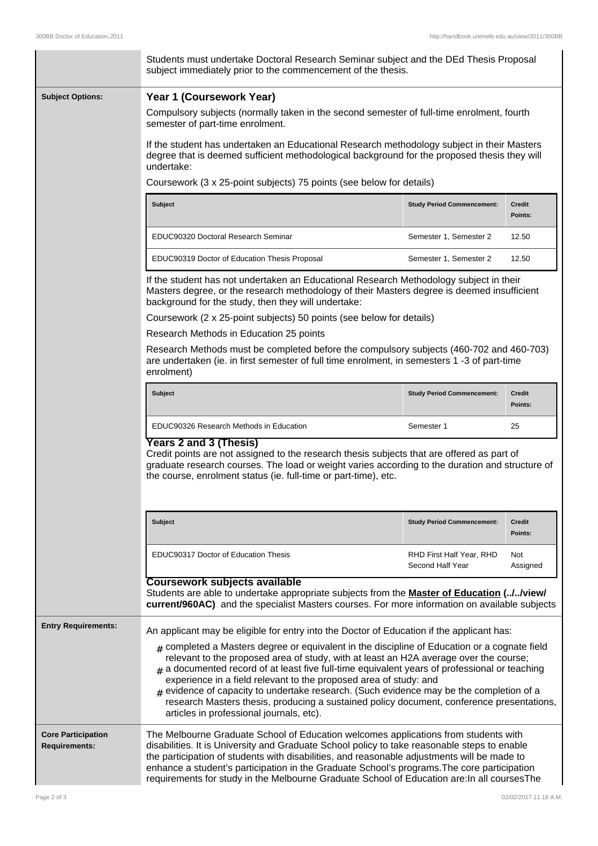|                                                   | Students must undertake Doctoral Research Seminar subject and the DEd Thesis Proposal<br>subject immediately prior to the commencement of the thesis.                                                                                                                                                                                                                                                                                                                                                                                                                                                                |                                              |                          |  |  |  |
|---------------------------------------------------|----------------------------------------------------------------------------------------------------------------------------------------------------------------------------------------------------------------------------------------------------------------------------------------------------------------------------------------------------------------------------------------------------------------------------------------------------------------------------------------------------------------------------------------------------------------------------------------------------------------------|----------------------------------------------|--------------------------|--|--|--|
| <b>Subject Options:</b>                           | Year 1 (Coursework Year)<br>Compulsory subjects (normally taken in the second semester of full-time enrolment, fourth<br>semester of part-time enrolment.                                                                                                                                                                                                                                                                                                                                                                                                                                                            |                                              |                          |  |  |  |
|                                                   | If the student has undertaken an Educational Research methodology subject in their Masters<br>degree that is deemed sufficient methodological background for the proposed thesis they will<br>undertake:                                                                                                                                                                                                                                                                                                                                                                                                             |                                              |                          |  |  |  |
|                                                   | Coursework (3 x 25-point subjects) 75 points (see below for details)                                                                                                                                                                                                                                                                                                                                                                                                                                                                                                                                                 |                                              |                          |  |  |  |
|                                                   | <b>Subject</b>                                                                                                                                                                                                                                                                                                                                                                                                                                                                                                                                                                                                       | <b>Study Period Commencement:</b>            | Credit<br>Points:        |  |  |  |
|                                                   | EDUC90320 Doctoral Research Seminar                                                                                                                                                                                                                                                                                                                                                                                                                                                                                                                                                                                  | Semester 1, Semester 2                       | 12.50                    |  |  |  |
|                                                   | EDUC90319 Doctor of Education Thesis Proposal                                                                                                                                                                                                                                                                                                                                                                                                                                                                                                                                                                        | Semester 1, Semester 2                       | 12.50                    |  |  |  |
|                                                   | If the student has not undertaken an Educational Research Methodology subject in their<br>Masters degree, or the research methodology of their Masters degree is deemed insufficient<br>background for the study, then they will undertake:                                                                                                                                                                                                                                                                                                                                                                          |                                              |                          |  |  |  |
|                                                   | Coursework (2 x 25-point subjects) 50 points (see below for details)                                                                                                                                                                                                                                                                                                                                                                                                                                                                                                                                                 |                                              |                          |  |  |  |
|                                                   | Research Methods in Education 25 points                                                                                                                                                                                                                                                                                                                                                                                                                                                                                                                                                                              |                                              |                          |  |  |  |
|                                                   | Research Methods must be completed before the compulsory subjects (460-702 and 460-703)<br>are undertaken (ie. in first semester of full time enrolment, in semesters 1 -3 of part-time<br>enrolment)                                                                                                                                                                                                                                                                                                                                                                                                                |                                              |                          |  |  |  |
|                                                   | <b>Subject</b>                                                                                                                                                                                                                                                                                                                                                                                                                                                                                                                                                                                                       | <b>Study Period Commencement:</b>            | Credit<br>Points:        |  |  |  |
|                                                   | EDUC90326 Research Methods in Education                                                                                                                                                                                                                                                                                                                                                                                                                                                                                                                                                                              | Semester 1                                   | 25                       |  |  |  |
|                                                   | <b>Years 2 and 3 (Thesis)</b><br>Credit points are not assigned to the research thesis subjects that are offered as part of<br>graduate research courses. The load or weight varies according to the duration and structure of<br>the course, enrolment status (ie. full-time or part-time), etc.                                                                                                                                                                                                                                                                                                                    |                                              |                          |  |  |  |
|                                                   | <b>Subject</b>                                                                                                                                                                                                                                                                                                                                                                                                                                                                                                                                                                                                       | <b>Study Period Commencement:</b>            | <b>Credit</b><br>Points: |  |  |  |
|                                                   | EDUC90317 Doctor of Education Thesis                                                                                                                                                                                                                                                                                                                                                                                                                                                                                                                                                                                 | RHD First Half Year, RHD<br>Second Half Year | Not<br>Assigned          |  |  |  |
|                                                   | Coursework subjects available<br>Students are able to undertake appropriate subjects from the <b>Master of Education (//view/</b><br>current/960AC) and the specialist Masters courses. For more information on available subjects                                                                                                                                                                                                                                                                                                                                                                                   |                                              |                          |  |  |  |
| <b>Entry Requirements:</b>                        | An applicant may be eligible for entry into the Doctor of Education if the applicant has:                                                                                                                                                                                                                                                                                                                                                                                                                                                                                                                            |                                              |                          |  |  |  |
|                                                   | $_{\#}$ completed a Masters degree or equivalent in the discipline of Education or a cognate field<br>relevant to the proposed area of study, with at least an H2A average over the course;<br>$_{\text{\#}}$ a documented record of at least five full-time equivalent years of professional or teaching<br>experience in a field relevant to the proposed area of study: and<br>$#$ evidence of capacity to undertake research. (Such evidence may be the completion of a<br>research Masters thesis, producing a sustained policy document, conference presentations,<br>articles in professional journals, etc). |                                              |                          |  |  |  |
| <b>Core Participation</b><br><b>Requirements:</b> | The Melbourne Graduate School of Education welcomes applications from students with<br>disabilities. It is University and Graduate School policy to take reasonable steps to enable<br>the participation of students with disabilities, and reasonable adjustments will be made to<br>enhance a student's participation in the Graduate School's programs. The core participation<br>requirements for study in the Melbourne Graduate School of Education are: In all courses The                                                                                                                                    |                                              |                          |  |  |  |